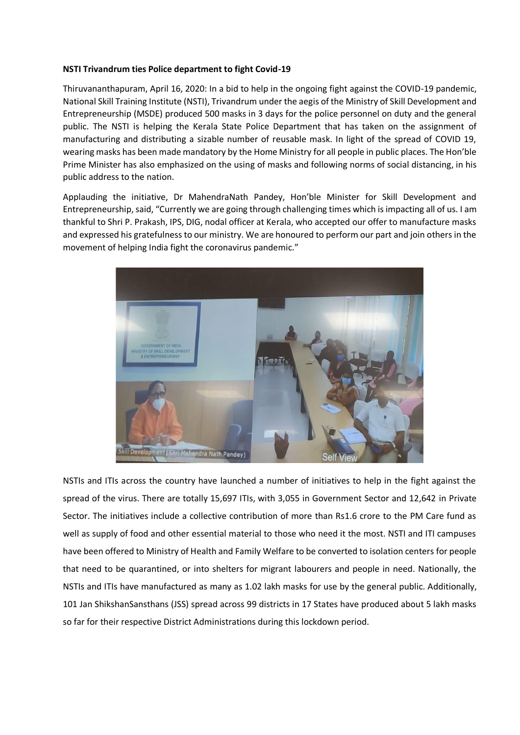## **NSTI Trivandrum ties Police department to fight Covid-19**

Thiruvananthapuram, April 16, 2020: In a bid to help in the ongoing fight against the COVID-19 pandemic, National Skill Training Institute (NSTI), Trivandrum under the aegis of the Ministry of Skill Development and Entrepreneurship (MSDE) produced 500 masks in 3 days for the police personnel on duty and the general public. The NSTI is helping the Kerala State Police Department that has taken on the assignment of manufacturing and distributing a sizable number of reusable mask. In light of the spread of COVID 19, wearing masks has been made mandatory by the Home Ministry for all people in public places. The Hon'ble Prime Minister has also emphasized on the using of masks and following norms of social distancing, in his public address to the nation.

Applauding the initiative, Dr MahendraNath Pandey, Hon'ble Minister for Skill Development and Entrepreneurship, said, "Currently we are going through challenging times which is impacting all of us. I am thankful to Shri P. Prakash, IPS, DIG, nodal officer at Kerala, who accepted our offer to manufacture masks and expressed his gratefulness to our ministry. We are honoured to perform our part and join others in the movement of helping India fight the coronavirus pandemic."



NSTIs and ITIs across the country have launched a number of initiatives to help in the fight against the spread of the virus. There are totally 15,697 ITIs, with 3,055 in Government Sector and 12,642 in Private Sector. The initiatives include a collective contribution of more than Rs1.6 crore to the PM Care fund as well as supply of food and other essential material to those who need it the most. NSTI and ITI campuses have been offered to Ministry of Health and Family Welfare to be converted to isolation centers for people that need to be quarantined, or into shelters for migrant labourers and people in need. Nationally, the NSTIs and ITIs have manufactured as many as 1.02 lakh masks for use by the general public. Additionally, 101 Jan ShikshanSansthans (JSS) spread across 99 districts in 17 States have produced about 5 lakh masks so far for their respective District Administrations during this lockdown period.